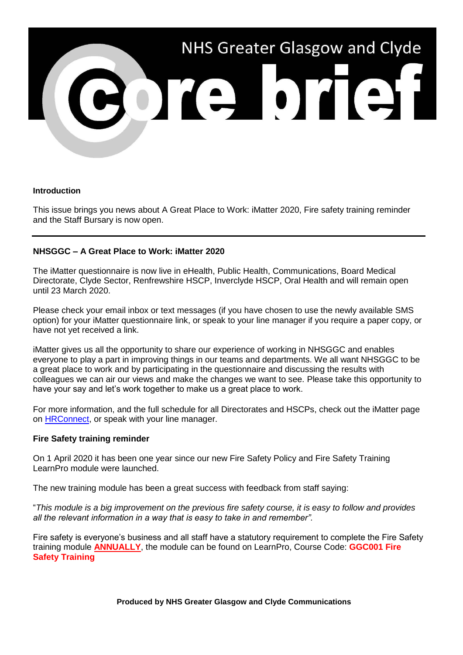

#### **Introduction**

This issue brings you news about A Great Place to Work: iMatter 2020, Fire safety training reminder and the Staff Bursary is now open.

### **NHSGGC – A Great Place to Work: iMatter 2020**

The iMatter questionnaire is now live in eHealth, Public Health, Communications, Board Medical Directorate, Clyde Sector, Renfrewshire HSCP, Inverclyde HSCP, Oral Health and will remain open until 23 March 2020.

Please check your email inbox or text messages (if you have chosen to use the newly available SMS option) for your iMatter questionnaire link, or speak to your line manager if you require a paper copy, or have not yet received a link.

iMatter gives us all the opportunity to share our experience of working in NHSGGC and enables everyone to play a part in improving things in our teams and departments. We all want NHSGGC to be a great place to work and by participating in the questionnaire and discussing the results with colleagues we can air our views and make the changes we want to see. Please take this opportunity to have your say and let's work together to make us a great place to work.

For more information, and the full schedule for all Directorates and HSCPs, check out the iMatter page on [HRConnect,](https://www.nhsggc.org.uk/working-with-us/hr-connect/policies-and-staff-governance/staff-governance/imatter-the-staff-experience-continuous-improvement-tool/) or speak with your line manager.

#### **Fire Safety training reminder**

On 1 April 2020 it has been one year since our new Fire Safety Policy and Fire Safety Training LearnPro module were launched.

The new training module has been a great success with feedback from staff saying:

"*This module is a big improvement on the previous fire safety course, it is easy to follow and provides all the relevant information in a way that is easy to take in and remember".*

Fire safety is everyone's business and all staff have a statutory requirement to complete the Fire Safety training module **ANNUALLY**, the module can be found on LearnPro, Course Code: **GGC001 Fire Safety Training**